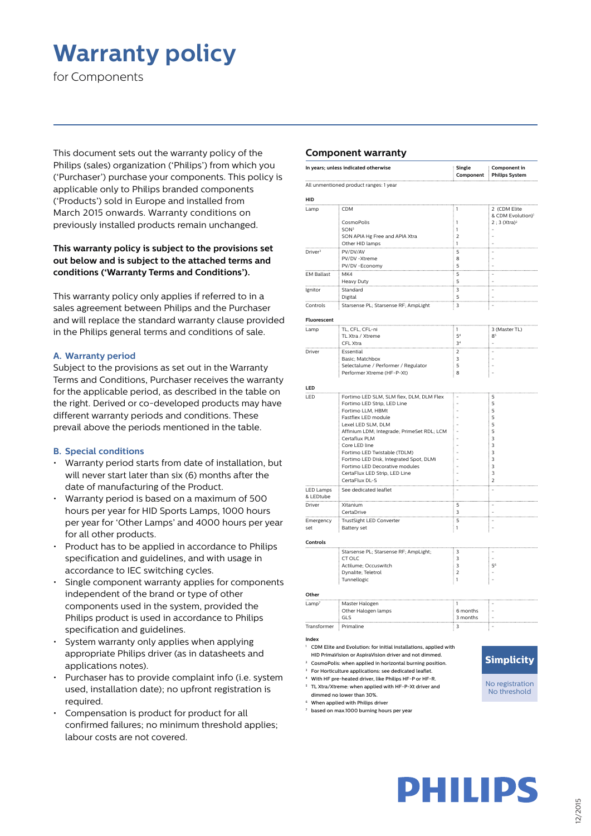# **Warranty policy**

for Components

This document sets out the warranty policy of the Philips (sales) organization ('Philips') from which you ('Purchaser') purchase your components. This policy is applicable only to Philips branded components ('Products') sold in Europe and installed from March 2015 onwards. Warranty conditions on previously installed products remain unchanged.

# **This warranty policy is subject to the provisions set out below and is subject to the attached terms and conditions ('Warranty Terms and Conditions').**

This warranty policy only applies if referred to in a sales agreement between Philips and the Purchaser and will replace the standard warranty clause provided in the Philips general terms and conditions of sale.

## **A. Warranty period**

Subject to the provisions as set out in the Warranty Terms and Conditions, Purchaser receives the warranty for the applicable period, as described in the table on the right. Derived or co-developed products may have different warranty periods and conditions. These prevail above the periods mentioned in the table.

### **B. Special conditions**

- Warranty period starts from date of installation, but will never start later than six (6) months after the date of manufacturing of the Product.
- Warranty period is based on a maximum of 500 hours per year for HID Sports Lamps, 1000 hours per year for 'Other Lamps' and 4000 hours per year for all other products.
- Product has to be applied in accordance to Philips specification and guidelines, and with usage in accordance to IEC switching cycles.
- Single component warranty applies for components independent of the brand or type of other components used in the system, provided the Philips product is used in accordance to Philips specification and guidelines.
- System warranty only applies when applying appropriate Philips driver (as in datasheets and applications notes).
- Purchaser has to provide complaint info (i.e. system used, installation date); no upfront registration is required.
- Compensation is product for product for all confirmed failures; no minimum threshold applies; labour costs are not covered.

### **Component warranty**

|                                                                           | In years; unless indicated otherwise                                      | Single<br>Component         | Component in<br><b>Philips System</b>                        |
|---------------------------------------------------------------------------|---------------------------------------------------------------------------|-----------------------------|--------------------------------------------------------------|
| All unmentioned product ranges: 1 year                                    |                                                                           |                             |                                                              |
| HID                                                                       |                                                                           |                             |                                                              |
| Lamp                                                                      | <b>CDM</b>                                                                | i<br>$\mathbf{1}$           | 2 (CDM Elite                                                 |
|                                                                           | CosmoPolis                                                                | 1                           | & CDM Evolution) <sup>1</sup><br>: 2 ; 3 (Xtra) <sup>2</sup> |
|                                                                           | SON <sup>3</sup>                                                          | $\mathbf{1}$                |                                                              |
|                                                                           | SON APIA Hg Free and APIA Xtra                                            | $\overline{2}$              |                                                              |
|                                                                           | Other HID lamps                                                           | 1                           |                                                              |
| Driver <sup>3</sup>                                                       | PV/DV/AV<br>PV/DV -Xtreme                                                 | 5<br>8                      |                                                              |
|                                                                           | PV/DV - Economy                                                           | 5                           |                                                              |
| <b>EM Ballast</b>                                                         | MK4                                                                       | 5                           |                                                              |
| .                                                                         | Heavy Duty                                                                | 5                           |                                                              |
| Ignitor                                                                   | Standard                                                                  | 3                           |                                                              |
| .                                                                         | Digital                                                                   | 5<br>m.                     | m.                                                           |
| Controls                                                                  | Starsense PL; Starsense RF; AmpLight                                      | 3                           |                                                              |
| Fluorescent                                                               |                                                                           |                             |                                                              |
| Lamp                                                                      | TL, CFL, CFL-ni                                                           | $\mathbf{1}$                | 3 (Master TL)                                                |
|                                                                           | TL Xtra / Xtreme                                                          | 5 <sup>4</sup>              | 8 <sup>5</sup>                                               |
|                                                                           | CFL Xtra                                                                  | 3 <sup>4</sup>              |                                                              |
| Driver                                                                    | Essential<br>Basic: Matchbox                                              | 2<br>3                      |                                                              |
|                                                                           | Selectalume / Performer / Regulator                                       | 5                           | ÷,                                                           |
|                                                                           | Performer Xtreme (HF-P-Xt)                                                | 8                           |                                                              |
| LED                                                                       |                                                                           |                             |                                                              |
| LED                                                                       | Fortimo LED SLM, SLM flex, DLM, DLM Flex                                  |                             | 5                                                            |
|                                                                           | Fortimo LED Strip, LED Line                                               |                             | 5                                                            |
|                                                                           | Fortimo LLM, HBMt                                                         |                             | 5                                                            |
|                                                                           | Fastflex LED module                                                       |                             | 5                                                            |
|                                                                           | Lexel LED SLM, DLM<br>Affinium LDM; Integrade; PrimeSet RDL; LCM          |                             | 5<br>5                                                       |
|                                                                           | Certaflux PLM                                                             |                             | 3                                                            |
|                                                                           | Core LED line                                                             |                             | 3                                                            |
|                                                                           | Fortimo LED Twistable (TDLM)                                              |                             | $\overline{\mathbf{3}}$                                      |
|                                                                           | Fortimo LED Disk, Integrated Spot, DLMi<br>Fortimo LED Decorative modules |                             | 3<br>3                                                       |
|                                                                           | CertaFlux LED Strip, LED Line                                             |                             | 3                                                            |
|                                                                           | CertaFlux DL-S                                                            |                             | $\overline{2}$                                               |
| LED Lamps                                                                 | See dedicated leaflet                                                     |                             |                                                              |
| & LEDtube                                                                 |                                                                           |                             |                                                              |
| Driver                                                                    | Xitanium<br>CertaDrive                                                    | 5<br>3                      |                                                              |
| Emergency                                                                 | TrustSight LED Converter                                                  | 5                           |                                                              |
| set                                                                       | Battery set                                                               | i<br>1                      | İ<br>÷,                                                      |
| Controls                                                                  |                                                                           |                             |                                                              |
|                                                                           | Starsense PL; Starsense RF; AmpLight;                                     | 3                           |                                                              |
|                                                                           | CT OLC                                                                    | 3                           | $\overline{\phantom{a}}$                                     |
|                                                                           | Actilume: Occuswitch                                                      | 3                           | 5 <sup>6</sup>                                               |
|                                                                           | Dynalite; Teletrol                                                        | $\overline{2}$              | $\overline{\phantom{a}}$                                     |
|                                                                           | Tunnellogic                                                               | 1                           |                                                              |
| Other                                                                     |                                                                           |                             |                                                              |
| .amp <sup>7</sup>                                                         | Master Halogen                                                            | $\mathbf{I}$                |                                                              |
|                                                                           | Other Halogen lamps                                                       | 6 months                    |                                                              |
| Transformer                                                               | GLS<br>Primaline                                                          | 3 months<br>$\frac{1}{2}$ 3 |                                                              |
|                                                                           |                                                                           |                             | ŧ                                                            |
| Index<br>CDM Elite and Evolution: for initial installations, applied with |                                                                           |                             |                                                              |
| HID PrimaVision or AspiraVision driver and not dimmed.                    |                                                                           |                             |                                                              |
| <sup>2</sup> CosmoPolis: when applied in horizontal burning position.     |                                                                           |                             | <b>Simplicity</b>                                            |
| <sup>3</sup> For Horticulture applications: see dedicated leaflet.        |                                                                           |                             |                                                              |
| <sup>4</sup> With HF pre-heated driver, like Philips HF-P or HF-R.        |                                                                           |                             |                                                              |
| <sup>5</sup> TL Xtra/Xtreme: when applied with HF-P-Xt driver and         |                                                                           |                             | No registration                                              |

dimmed no lower than 30%. <sup>6</sup> When applied with Philips driver

- <sup>7</sup> based on max.1000 burning hours per year
- No threshold
- **PHILIPS**